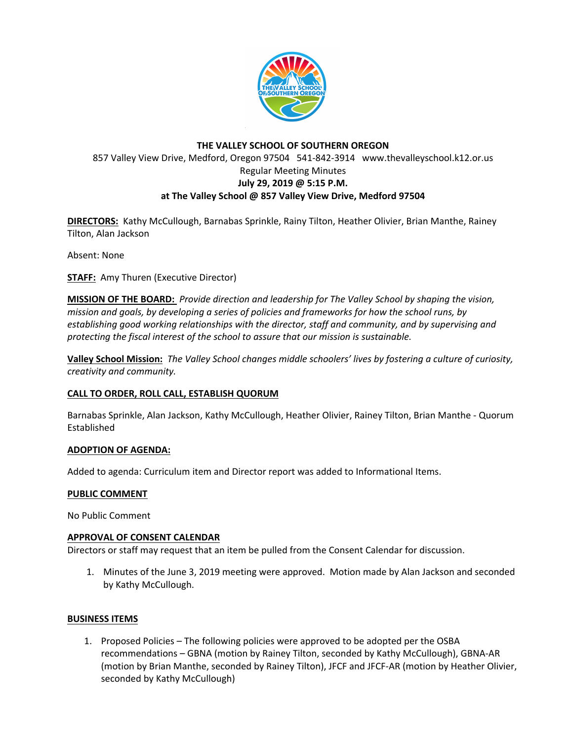

# **THE VALLEY SCHOOL OF SOUTHERN OREGON** 857 Valley View Drive, Medford, Oregon 97504 541-842-3914 www.thevalleyschool.k12.or.us Regular Meeting Minutes **July 29, 2019 @ 5:15 P.M. at The Valley School @ 857 Valley View Drive, Medford 97504**

**DIRECTORS:** Kathy McCullough, Barnabas Sprinkle, Rainy Tilton, Heather Olivier, Brian Manthe, Rainey Tilton, Alan Jackson

Absent: None

**STAFF:** Amy Thuren (Executive Director)

**MISSION OF THE BOARD:** *Provide direction and leadership for The Valley School by shaping the vision, mission and goals, by developing a series of policies and frameworks for how the school runs, by establishing good working relationships with the director, staff and community, and by supervising and protecting the fiscal interest of the school to assure that our mission is sustainable.*

**Valley School Mission:** *The Valley School changes middle schoolers' lives by fostering a culture of curiosity, creativity and community.*

# **CALL TO ORDER, ROLL CALL, ESTABLISH QUORUM**

Barnabas Sprinkle, Alan Jackson, Kathy McCullough, Heather Olivier, Rainey Tilton, Brian Manthe - Quorum Established

#### **ADOPTION OF AGENDA:**

Added to agenda: Curriculum item and Director report was added to Informational Items.

#### **PUBLIC COMMENT**

No Public Comment

#### **APPROVAL OF CONSENT CALENDAR**

Directors or staff may request that an item be pulled from the Consent Calendar for discussion.

1. Minutes of the June 3, 2019 meeting were approved. Motion made by Alan Jackson and seconded by Kathy McCullough.

#### **BUSINESS ITEMS**

1. Proposed Policies – The following policies were approved to be adopted per the OSBA recommendations – GBNA (motion by Rainey Tilton, seconded by Kathy McCullough), GBNA-AR (motion by Brian Manthe, seconded by Rainey Tilton), JFCF and JFCF-AR (motion by Heather Olivier, seconded by Kathy McCullough)